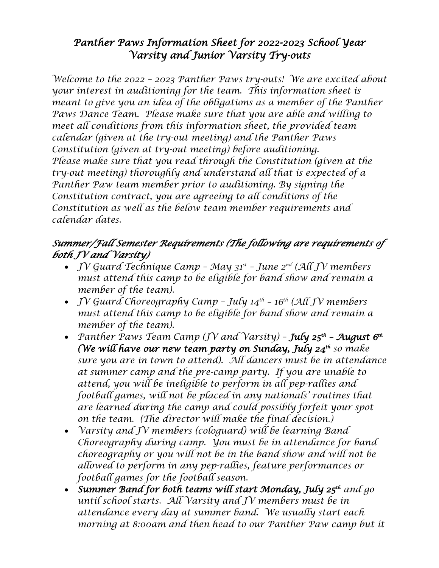# *Panther Paws Information Sheet for 2022-2023 School Year Varsity and Junior Varsity Try-outs*

*Welcome to the 2022 – 2023 Panther Paws try-outs! We are excited about your interest in auditioning for the team. This information sheet is meant to give you an idea of the obligations as a member of the Panther Paws Dance Team. Please make sure that you are able and willing to meet all conditions from this information sheet, the provided team calendar (given at the try-out meeting) and the Panther Paws Constitution (given at try-out meeting) before auditioning. Please make sure that you read through the Constitution (given at the try-out meeting) thoroughly and understand all that is expected of a Panther Paw team member prior to auditioning. By signing the Constitution contract, you are agreeing to all conditions of the Constitution as well as the below team member requirements and calendar dates.* 

#### *Summer/Fall Semester Requirements (The following are requirements of both JV and Varsity)*

- *JV Guard Technique Camp May 31st June 2nd (All JV members must attend this camp to be eligible for band show and remain a member of the team).*
- *JV Guard Choreography Camp July 14th 16th (All JV members must attend this camp to be eligible for band show and remain a member of the team).*
- *Panther Paws Team Camp (JV and Varsity) July 25th August 6th (We will have our new team party on Sunday, July 24th so make sure you are in town to attend). All dancers must be in attendance at summer camp and the pre-camp party. If you are unable to attend, you will be ineligible to perform in all pep-rallies and football games, will not be placed in any nationals' routines that are learned during the camp and could possibly forfeit your spot on the team. (The director will make the final decision.)*
- *Varsity and JV members (cologuard) will be learning Band Choreography during camp. You must be in attendance for band choreography or you will not be in the band show and will not be allowed to perform in any pep-rallies, feature performances or football games for the football season.*
- *Summer Band for both teams will start Monday, July 25th and go until school starts. All Varsity and JV members must be in attendance every day at summer band. We usually start each morning at 8:00am and then head to our Panther Paw camp but it*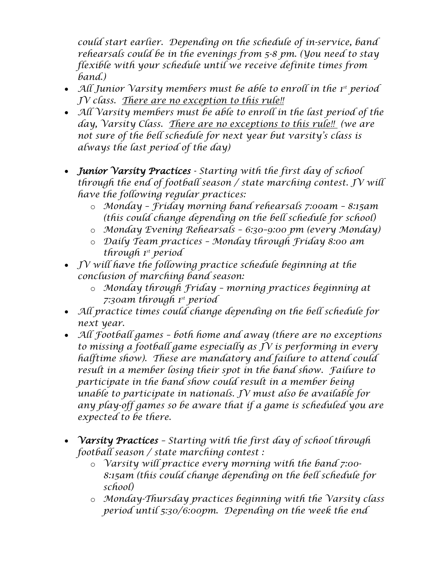*could start earlier. Depending on the schedule of in-service, band rehearsals could be in the evenings from 5-8 pm. (You need to stay flexible with your schedule until we receive definite times from band.)*

- *All Junior Varsity members must be able to enroll in the 1st period JV class. There are no exception to this rule!!*
- *All Varsity members must be able to enroll in the last period of the day, Varsity Class. There are no exceptions to this rule!! (we are not sure of the bell schedule for next year but varsity's class is always the last period of the day)*
- *Junior Varsity Practices Starting with the first day of school through the end of football season / state marching contest. JV will have the following regular practices:*
	- o *Monday Friday morning band rehearsals 7:00am 8:15am (this could change depending on the bell schedule for school)*
	- o *Monday Evening Rehearsals 6:30–9:00 pm (every Monday)*
	- o *Daily Team practices Monday through Friday 8:00 am through 1st period*
- *JV will have the following practice schedule beginning at the conclusion of marching band season:*
	- o *Monday through Friday morning practices beginning at 7:30am through 1st period*
- *All practice times could change depending on the bell schedule for next year.*
- *All Football games both home and away (there are no exceptions to missing a football game especially as JV is performing in every halftime show). These are mandatory and failure to attend could result in a member losing their spot in the band show. Failure to participate in the band show could result in a member being unable to participate in nationals. JV must also be available for any play-off games so be aware that if a game is scheduled you are expected to be there.*
- *Varsity Practices Starting with the first day of school through football season / state marching contest :* 
	- o *Varsity will practice every morning with the band 7:00- 8:15am (this could change depending on the bell schedule for school)*
	- o *Monday-Thursday practices beginning with the Varsity class period until 5:30/6:00pm. Depending on the week the end*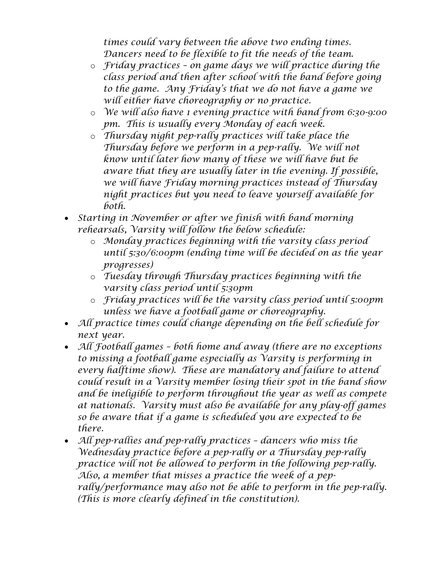*times could vary between the above two ending times. Dancers need to be flexible to fit the needs of the team.* 

- o *Friday practices – on game days we will practice during the class period and then after school with the band before going to the game. Any Friday's that we do not have a game we will either have choreography or no practice.*
- o *We will also have 1 evening practice with band from 6:30-9:00 pm. This is usually every Monday of each week.*
- o *Thursday night pep-rally practices will take place the Thursday before we perform in a pep-rally. We will not know until later how many of these we will have but be aware that they are usually later in the evening. If possible, we will have Friday morning practices instead of Thursday night practices but you need to leave yourself available for both.*
- *Starting in November or after we finish with band morning rehearsals, Varsity will follow the below schedule:*
	- o *Monday practices beginning with the varsity class period until 5:30/6:00pm (ending time will be decided on as the year progresses)*
	- o *Tuesday through Thursday practices beginning with the varsity class period until 5:30pm*
	- o *Friday practices will be the varsity class period until 5:00pm unless we have a football game or choreography.*
- *All practice times could change depending on the bell schedule for next year.*
- *All Football games – both home and away (there are no exceptions to missing a football game especially as Varsity is performing in every halftime show). These are mandatory and failure to attend could result in a Varsity member losing their spot in the band show and be ineligible to perform throughout the year as well as compete at nationals. Varsity must also be available for any play-off games so be aware that if a game is scheduled you are expected to be there.*
- *All pep-rallies and pep-rally practices – dancers who miss the Wednesday practice before a pep-rally or a Thursday pep-rally practice will not be allowed to perform in the following pep-rally. Also, a member that misses a practice the week of a peprally/performance may also not be able to perform in the pep-rally. (This is more clearly defined in the constitution).*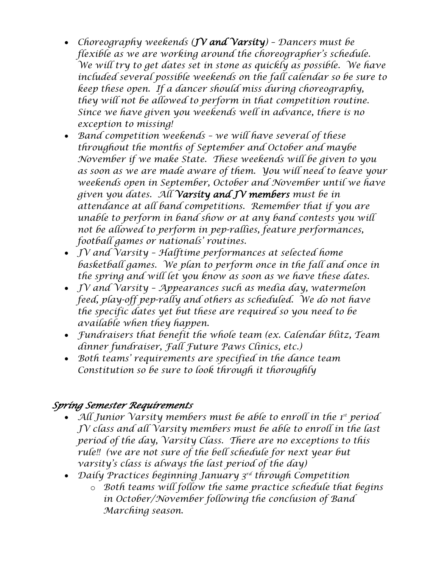- *Choreography weekends (JV and Varsity) – Dancers must be flexible as we are working around the choreographer's schedule. We will try to get dates set in stone as quickly as possible. We have included several possible weekends on the fall calendar so be sure to keep these open. If a dancer should miss during choreography, they will not be allowed to perform in that competition routine. Since we have given you weekends well in advance, there is no exception to missing!*
- *Band competition weekends – we will have several of these throughout the months of September and October and maybe November if we make State. These weekends will be given to you as soon as we are made aware of them. You will need to leave your weekends open in September, October and November until we have given you dates. All Varsity and JV members must be in attendance at all band competitions. Remember that if you are unable to perform in band show or at any band contests you will not be allowed to perform in pep-rallies, feature performances, football games or nationals' routines.*
- *JV and Varsity – Halftime performances at selected home basketball games. We plan to perform once in the fall and once in the spring and will let you know as soon as we have these dates.*
- *JV and Varsity – Appearances such as media day, watermelon feed, play-off pep-rally and others as scheduled. We do not have the specific dates yet but these are required so you need to be available when they happen.*
- *Fundraisers that benefit the whole team (ex. Calendar blitz, Team dinner fundraiser, Fall Future Paws Clinics, etc.)*
- *Both teams' requirements are specified in the dance team Constitution so be sure to look through it thoroughly*

#### *Spring Semester Requirements*

- *All Junior Varsity members must be able to enroll in the 1st period JV class and all Varsity members must be able to enroll in the last period of the day, Varsity Class. There are no exceptions to this rule!! (we are not sure of the bell schedule for next year but varsity's class is always the last period of the day)*
- *Daily Practices beginning January 3rd through Competition*
	- o *Both teams will follow the same practice schedule that begins in October/November following the conclusion of Band Marching season.*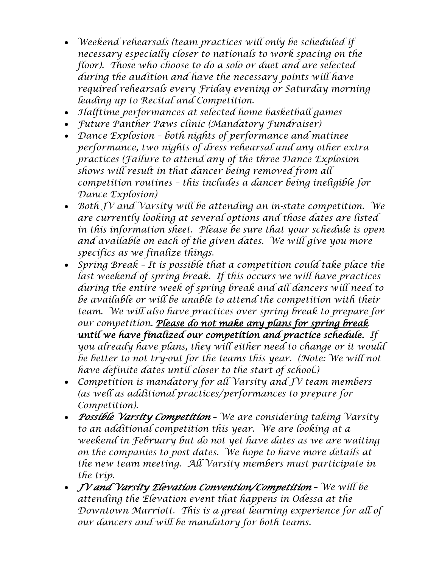- *Weekend rehearsals (team practices will only be scheduled if necessary especially closer to nationals to work spacing on the floor). Those who choose to do a solo or duet and are selected during the audition and have the necessary points will have required rehearsals every Friday evening or Saturday morning leading up to Recital and Competition.*
- *Halftime performances at selected home basketball games*
- *Future Panther Paws clinic (Mandatory Fundraiser)*
- *Dance Explosion both nights of performance and matinee performance, two nights of dress rehearsal and any other extra practices (Failure to attend any of the three Dance Explosion shows will result in that dancer being removed from all competition routines – this includes a dancer being ineligible for Dance Explosion)*
- *Both JV and Varsity will be attending an in-state competition. We are currently looking at several options and those dates are listed in this information sheet. Please be sure that your schedule is open and available on each of the given dates. We will give you more specifics as we finalize things.*
- *Spring Break It is possible that a competition could take place the last weekend of spring break. If this occurs we will have practices during the entire week of spring break and all dancers will need to be available or will be unable to attend the competition with their team. We will also have practices over spring break to prepare for our competition. Please do not make any plans for spring break until we have finalized our competition and practice schedule. If you already have plans, they will either need to change or it would be better to not try-out for the teams this year. (Note: We will not have definite dates until closer to the start of school.)*
- *Competition is mandatory for all Varsity and JV team members (as well as additional practices/performances to prepare for Competition).*
- *Possible Varsity Competition We are considering taking Varsity to an additional competition this year. We are looking at a weekend in February but do not yet have dates as we are waiting on the companies to post dates. We hope to have more details at the new team meeting. All Varsity members must participate in the trip.*
- *JV and Varsity Elevation Convention/Competition We will be attending the Elevation event that happens in Odessa at the Downtown Marriott. This is a great learning experience for all of our dancers and will be mandatory for both teams.*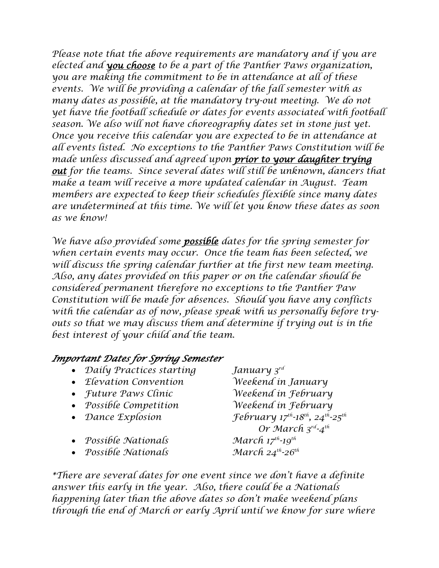*Please note that the above requirements are mandatory and if you are elected and you choose to be a part of the Panther Paws organization, you are making the commitment to be in attendance at all of these events. We will be providing a calendar of the fall semester with as many dates as possible, at the mandatory try-out meeting. We do not yet have the football schedule or dates for events associated with football season. We also will not have choreography dates set in stone just yet. Once you receive this calendar you are expected to be in attendance at all events listed. No exceptions to the Panther Paws Constitution will be made unless discussed and agreed upon prior to your daughter trying out for the teams. Since several dates will still be unknown, dancers that make a team will receive a more updated calendar in August. Team members are expected to keep their schedules flexible since many dates are undetermined at this time. We will let you know these dates as soon as we know!* 

*We have also provided some possible dates for the spring semester for when certain events may occur. Once the team has been selected, we will discuss the spring calendar further at the first new team meeting. Also, any dates provided on this paper or on the calendar should be considered permanent therefore no exceptions to the Panther Paw Constitution will be made for absences. Should you have any conflicts with the calendar as of now, please speak with us personally before tryouts so that we may discuss them and determine if trying out is in the best interest of your child and the team.* 

#### *Important Dates for Spring Semester*

- *Daily Practices starting January 3rd*
- *Elevation Convention Weekend in January*
- 
- *Possible Competition Weekend in February*
- 
- *Possible Nationals March 17<sup>th</sup>-19<sup>th</sup>*
- *Possible Nationals March 24th-26th*

• *Future Paws Clinic Weekend in February* • *Dance Explosion February 17<sup>th</sup>-18<sup>th</sup>, 24<sup>th</sup>-25<sup>th</sup> Or March 3rd-4th* 

*\*There are several dates for one event since we don't have a definite answer this early in the year. Also, there could be a Nationals happening later than the above dates so don't make weekend plans through the end of March or early April until we know for sure where*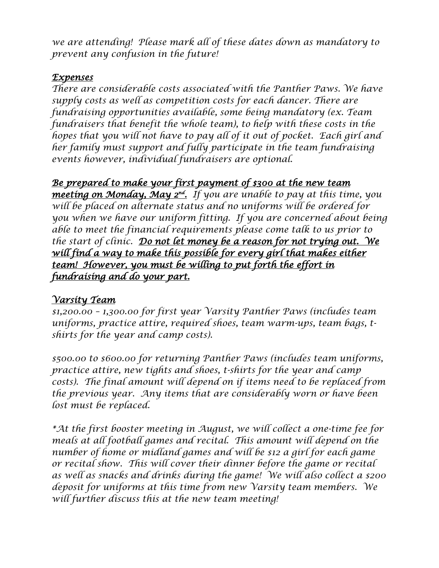*we are attending! Please mark all of these dates down as mandatory to prevent any confusion in the future!* 

#### *Expenses*

*There are considerable costs associated with the Panther Paws. We have supply costs as well as competition costs for each dancer. There are fundraising opportunities available, some being mandatory (ex. Team fundraisers that benefit the whole team), to help with these costs in the hopes that you will not have to pay all of it out of pocket. Each girl and her family must support and fully participate in the team fundraising events however, individual fundraisers are optional.* 

### *Be prepared to make your first payment of \$300 at the new team*

*meeting on Monday, May 2nd. If you are unable to pay at this time, you will be placed on alternate status and no uniforms will be ordered for you when we have our uniform fitting. If you are concerned about being able to meet the financial requirements please come talk to us prior to the start of clinic. Do not let money be a reason for not trying out. We*  will find a way to make this possible for every girl that makes either *team! However, you must be willing to put forth the effort in fundraising and do your part.* 

#### *Varsity Team*

*\$1,200.00 – 1,300.00 for first year Varsity Panther Paws (includes team uniforms, practice attire, required shoes, team warm-ups, team bags, tshirts for the year and camp costs).* 

*\$500.00 to \$600.00 for returning Panther Paws (includes team uniforms, practice attire, new tights and shoes, t-shirts for the year and camp*  costs). The final amount will depend on if items need to be replaced from *the previous year. Any items that are considerably worn or have been lost must be replaced.* 

*\*At the first booster meeting in August, we will collect a one-time fee for meals at all football games and recital. This amount will depend on the number of home or midland games and will be \$12 a girl for each game or recital show. This will cover their dinner before the game or recital as well as snacks and drinks during the game! We will also collect a \$200 deposit for uniforms at this time from new Varsity team members. We will further discuss this at the new team meeting!*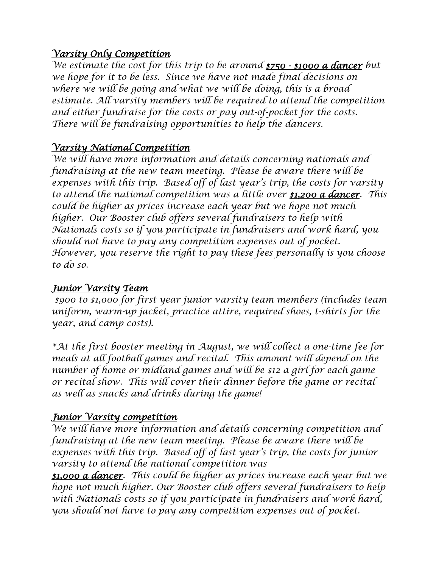#### *Varsity Only Competition*

*We estimate the cost for this trip to be around \$750 - \$1000 a dancer but we hope for it to be less. Since we have not made final decisions on where we will be going and what we will be doing, this is a broad estimate. All varsity members will be required to attend the competition and either fundraise for the costs or pay out-of-pocket for the costs. There will be fundraising opportunities to help the dancers.* 

## *Varsity National Competition*

*We will have more information and details concerning nationals and fundraising at the new team meeting. Please be aware there will be expenses with this trip. Based off of last year's trip, the costs for varsity to attend the national competition was a little over \$1,200 a dancer. This could be higher as prices increase each year but we hope not much higher. Our Booster club offers several fundraisers to help with Nationals costs so if you participate in fundraisers and work hard, you should not have to pay any competition expenses out of pocket. However, you reserve the right to pay these fees personally is you choose to do so.*

#### *Junior Varsity Team*

*\$900 to \$1,000 for first year junior varsity team members (includes team uniform, warm-up jacket, practice attire, required shoes, t-shirts for the year, and camp costs).* 

*\*At the first booster meeting in August, we will collect a one-time fee for meals at all football games and recital. This amount will depend on the number of home or midland games and will be \$12 a girl for each game or recital show. This will cover their dinner before the game or recital as well as snacks and drinks during the game!* 

## *Junior Varsity competition*

*We will have more information and details concerning competition and fundraising at the new team meeting. Please be aware there will be expenses with this trip. Based off of last year's trip, the costs for junior varsity to attend the national competition was*

*\$1,000 a dancer. This could be higher as prices increase each year but we hope not much higher. Our Booster club offers several fundraisers to help with Nationals costs so if you participate in fundraisers and work hard, you should not have to pay any competition expenses out of pocket.*